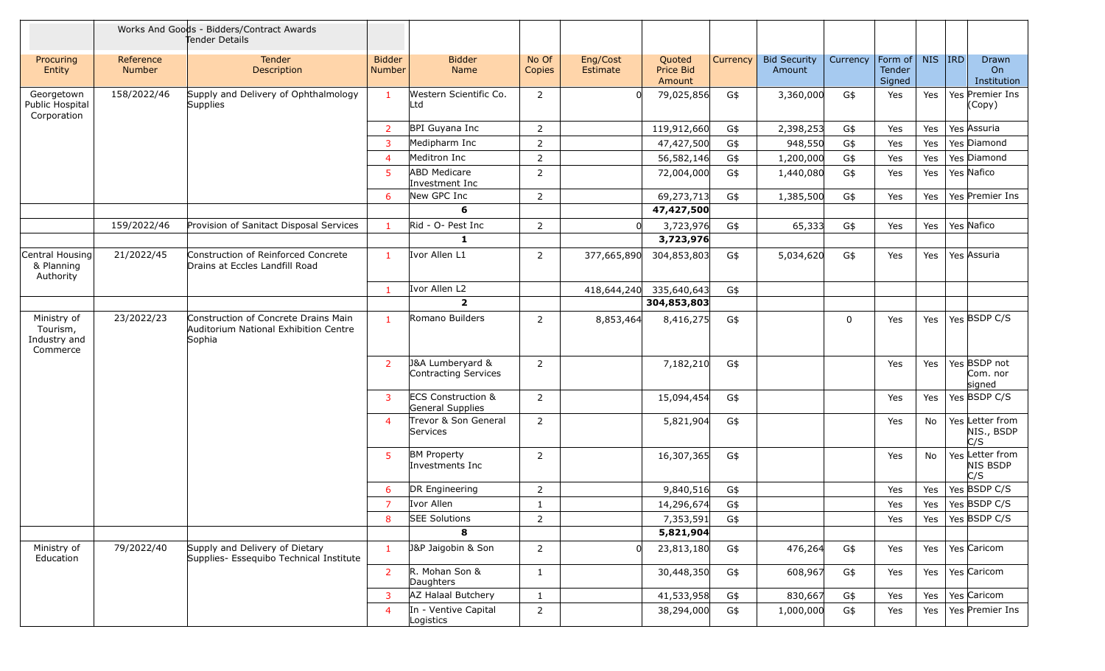|                                                     | Works And Goods - Bidders/Contract Awards<br>Tender Details |                                                                                         |                                |                                                   |                 |                      |                                      |          |                               |          |                             |        |                                      |
|-----------------------------------------------------|-------------------------------------------------------------|-----------------------------------------------------------------------------------------|--------------------------------|---------------------------------------------------|-----------------|----------------------|--------------------------------------|----------|-------------------------------|----------|-----------------------------|--------|--------------------------------------|
| Procuring<br>Entity                                 | Reference<br>Number                                         | Tender<br>Description                                                                   | <b>Bidder</b><br><b>Number</b> | <b>Bidder</b><br>Name                             | No Of<br>Copies | Eng/Cost<br>Estimate | Quoted<br><b>Price Bid</b><br>Amount | Currency | <b>Bid Security</b><br>Amount | Currency | Form of<br>Tender<br>Signed | NIS RD | Drawn<br>On<br>Institution           |
| Georgetown<br>Public Hospital<br>Corporation        | 158/2022/46                                                 | Supply and Delivery of Ophthalmology<br>Supplies                                        | $\mathbf{1}$                   | Western Scientific Co.<br>Ltd                     | 2               |                      | 79,025,856                           | G\$      | 3,360,000                     | G\$      | Yes                         | Yes    | Yes Premier Ins<br>(Copy)            |
|                                                     |                                                             |                                                                                         | $\overline{2}$                 | BPI Guyana Inc                                    | $\overline{2}$  |                      | 119,912,660                          | G\$      | 2,398,253                     | G\$      | Yes                         | Yes    | Yes Assuria                          |
|                                                     |                                                             |                                                                                         | $\overline{3}$                 | Medipharm Inc                                     | $\overline{2}$  |                      | 47,427,500                           | G\$      | 948,550                       | G\$      | Yes                         | Yes    | Yes Diamond                          |
|                                                     |                                                             |                                                                                         | $\overline{4}$                 | Meditron Inc                                      | $\overline{2}$  |                      | 56,582,146                           | G\$      | 1,200,000                     | G\$      | Yes                         | Yes    | Yes Diamond                          |
|                                                     |                                                             |                                                                                         | 5 <sup>1</sup>                 | <b>ABD Medicare</b><br>Investment Inc             | 2               |                      | 72,004,000                           | G\$      | 1,440,080                     | G\$      | Yes                         | Yes    | Yes Nafico                           |
|                                                     |                                                             |                                                                                         | 6                              | New GPC Inc                                       | $\overline{2}$  |                      | 69,273,713                           | G\$      | 1,385,500                     | G\$      | Yes                         | Yes    | Yes Premier Ins                      |
|                                                     |                                                             |                                                                                         |                                | 6                                                 |                 |                      | 47,427,500                           |          |                               |          |                             |        |                                      |
|                                                     | 159/2022/46                                                 | Provision of Sanitact Disposal Services                                                 | $\mathbf{1}$                   | Rid - O- Pest Inc                                 | $\overline{2}$  |                      | 3,723,976                            | G\$      | 65,333                        | G\$      | Yes                         | Yes    | Yes Nafico                           |
|                                                     |                                                             |                                                                                         |                                | 1                                                 |                 |                      | 3,723,976                            |          |                               |          |                             |        |                                      |
| Central Housing<br>& Planning<br>Authority          | 21/2022/45                                                  | Construction of Reinforced Concrete<br>Drains at Eccles Landfill Road                   | $\mathbf{1}$                   | Ivor Allen L1                                     | $\overline{2}$  | 377,665,890          | 304,853,803                          | G\$      | 5,034,620                     | G\$      | Yes                         | Yes    | Yes Assuria                          |
|                                                     |                                                             |                                                                                         | -1                             | Ivor Allen L2                                     |                 | 418,644,240          | 335,640,643                          | G\$      |                               |          |                             |        |                                      |
|                                                     |                                                             |                                                                                         |                                | $\overline{2}$                                    |                 |                      | 304,853,803                          |          |                               |          |                             |        |                                      |
| Ministry of<br>Tourism,<br>Industry and<br>Commerce | 23/2022/23                                                  | Construction of Concrete Drains Main<br>Auditorium National Exhibition Centre<br>Sophia | $\mathbf{1}$                   | Romano Builders                                   | $\overline{2}$  | 8,853,464            | 8,416,275                            | G\$      |                               | 0        | Yes                         | Yes    | Yes BSDP C/S                         |
|                                                     |                                                             |                                                                                         | 2                              | J&A Lumberyard &<br>Contracting Services          | 2               |                      | 7,182,210                            | G\$      |                               |          | Yes                         | Yes    | Yes BSDP not<br>Com. nor<br>signed   |
|                                                     |                                                             |                                                                                         | 3                              | <b>ECS Construction &amp;</b><br>General Supplies | $\overline{2}$  |                      | 15,094,454                           | G\$      |                               |          | Yes                         | Yes    | Yes BSDP C/S                         |
|                                                     |                                                             |                                                                                         | $\overline{4}$                 | Trevor & Son General<br>Services                  | $\overline{2}$  |                      | 5,821,904                            | G\$      |                               |          | Yes                         | No     | Yes Letter from<br>NIS., BSDP<br>C/S |
|                                                     |                                                             |                                                                                         | 5                              | <b>BM Property</b><br>Investments Inc             | $\overline{2}$  |                      | 16,307,365                           | G\$      |                               |          | Yes                         | No     | Yes Letter from<br>NIS BSDP<br>C/S   |
|                                                     |                                                             |                                                                                         | 6                              | DR Engineering                                    | $\overline{2}$  |                      | 9,840,516                            | G\$      |                               |          | Yes                         | Yes    | Yes BSDP C/S                         |
|                                                     |                                                             |                                                                                         | $\overline{7}$                 | Ivor Allen                                        | $\mathbf{1}$    |                      | 14,296,674                           | G\$      |                               |          | Yes                         | Yes    | Yes BSDP C/S                         |
|                                                     |                                                             |                                                                                         | 8                              | <b>SEE Solutions</b>                              | $\overline{2}$  |                      | 7,353,591                            | G\$      |                               |          | Yes                         | Yes    | Yes BSDP C/S                         |
|                                                     |                                                             |                                                                                         |                                | 8                                                 |                 |                      | 5,821,904                            |          |                               |          |                             |        |                                      |
| Ministry of<br>Education                            | 79/2022/40                                                  | Supply and Delivery of Dietary<br>Supplies- Essequibo Technical Institute               | $\mathbf{1}$                   | J&P Jaigobin & Son                                | $\overline{2}$  |                      | 23,813,180                           | G\$      | 476,264                       | G\$      | Yes                         | Yes    | Yes Caricom                          |
|                                                     |                                                             |                                                                                         | $\overline{2}$                 | R. Mohan Son &<br>Daughters                       | $\mathbf{1}$    |                      | 30,448,350                           | G\$      | 608,967                       | G\$      | Yes                         | Yes    | Yes Caricom                          |
|                                                     |                                                             |                                                                                         | 3                              | AZ Halaal Butchery                                | $\mathbf{1}$    |                      | 41,533,958                           | G\$      | 830,667                       | G\$      | Yes                         | Yes    | Yes Caricom                          |
|                                                     |                                                             |                                                                                         | $\overline{4}$                 | In - Ventive Capital<br>Logistics                 | $\overline{2}$  |                      | 38,294,000                           | G\$      | 1,000,000                     | G\$      | Yes                         | Yes    | Yes Premier Ins                      |